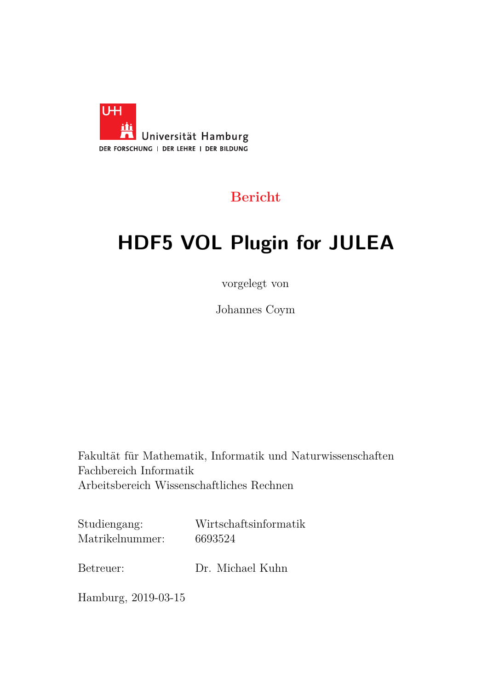

### **Bericht**

# **HDF5 VOL Plugin for JULEA**

vorgelegt von

Johannes Coym

Fakultät für Mathematik, Informatik und Naturwissenschaften Fachbereich Informatik Arbeitsbereich Wissenschaftliches Rechnen

Studiengang: Wirtschaftsinformatik Matrikelnummer: 6693524

Betreuer: Dr. Michael Kuhn

Hamburg, 2019-03-15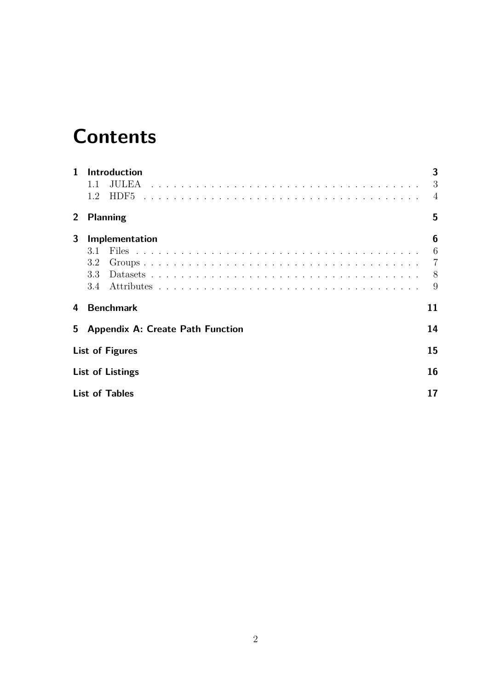## **Contents**

| $\mathbf 1$ | <b>Introduction</b>                     | 3              |
|-------------|-----------------------------------------|----------------|
|             | JULEA<br>1.1                            | 3              |
|             | HDF5<br>1.2                             | $\overline{4}$ |
| $2^{\circ}$ | <b>Planning</b>                         | 5              |
| 3           | Implementation                          | 6              |
|             | 3.1                                     | 6              |
|             | 3.2                                     | $\overline{7}$ |
|             | 3.3                                     | - 8            |
|             | 3.4                                     | 9              |
| 4           | <b>Benchmark</b>                        | 11             |
| 5           | <b>Appendix A: Create Path Function</b> | 14             |
|             | <b>List of Figures</b>                  | 15             |
|             | <b>List of Listings</b>                 | 16             |
|             | <b>List of Tables</b>                   | 17             |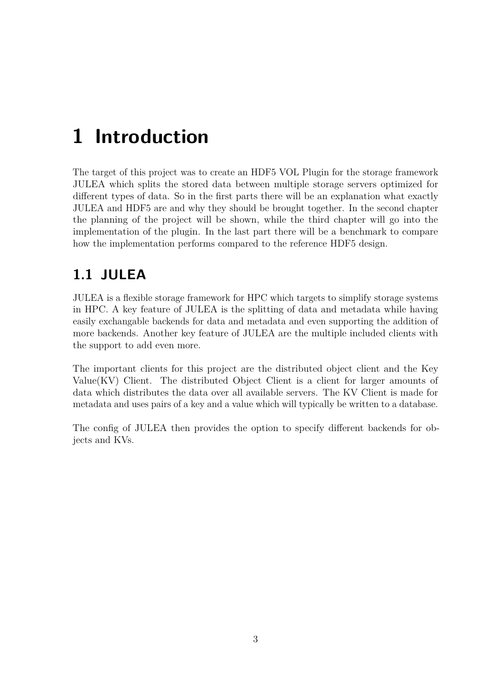## <span id="page-2-0"></span>**1 Introduction**

The target of this project was to create an HDF5 VOL Plugin for the storage framework JULEA which splits the stored data between multiple storage servers optimized for different types of data. So in the first parts there will be an explanation what exactly JULEA and HDF5 are and why they should be brought together. In the second chapter the planning of the project will be shown, while the third chapter will go into the implementation of the plugin. In the last part there will be a benchmark to compare how the implementation performs compared to the reference HDF5 design.

#### <span id="page-2-1"></span>**1.1 JULEA**

JULEA is a flexible storage framework for HPC which targets to simplify storage systems in HPC. A key feature of JULEA is the splitting of data and metadata while having easily exchangable backends for data and metadata and even supporting the addition of more backends. Another key feature of JULEA are the multiple included clients with the support to add even more.

The important clients for this project are the distributed object client and the Key Value(KV) Client. The distributed Object Client is a client for larger amounts of data which distributes the data over all available servers. The KV Client is made for metadata and uses pairs of a key and a value which will typically be written to a database.

The config of JULEA then provides the option to specify different backends for objects and KVs.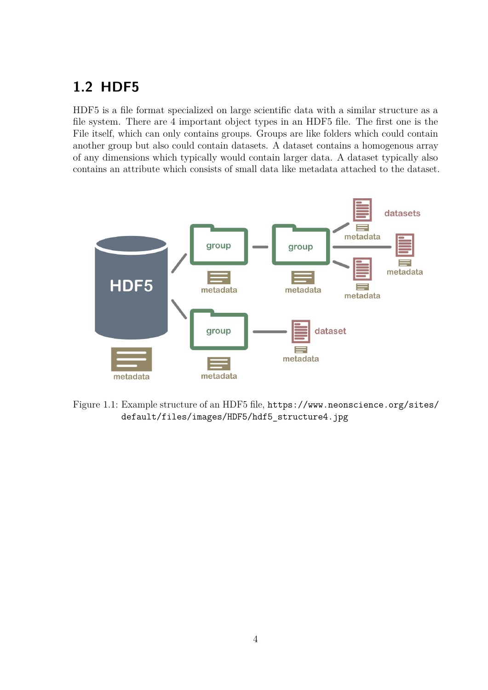### <span id="page-3-0"></span>**1.2 HDF5**

HDF5 is a file format specialized on large scientific data with a similar structure as a file system. There are 4 important object types in an HDF5 file. The first one is the File itself, which can only contains groups. Groups are like folders which could contain another group but also could contain datasets. A dataset contains a homogenous array of any dimensions which typically would contain larger data. A dataset typically also contains an attribute which consists of small data like metadata attached to the dataset.

<span id="page-3-1"></span>

Figure 1.1: Example structure of an HDF5 file, [https://www.neonscience.org/sites/](https://www.neonscience.org/sites/default/files/images/HDF5/hdf5_structure4.jpg) [default/files/images/HDF5/hdf5\\_structure4.jpg](https://www.neonscience.org/sites/default/files/images/HDF5/hdf5_structure4.jpg)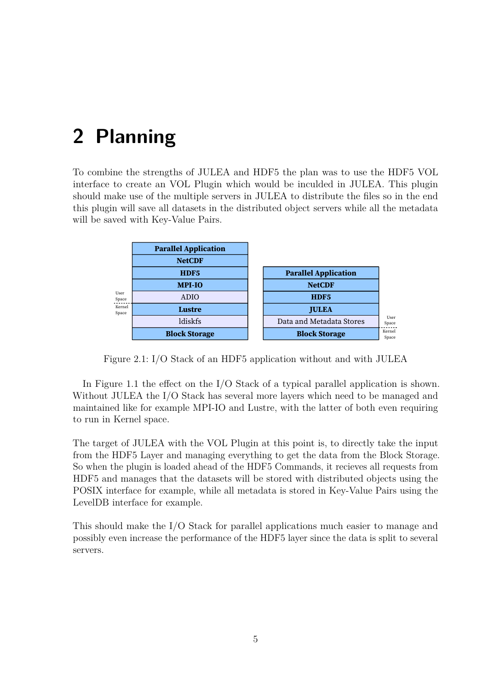### <span id="page-4-0"></span>**2 Planning**

To combine the strengths of JULEA and HDF5 the plan was to use the HDF5 VOL interface to create an VOL Plugin which would be inculded in JULEA. This plugin should make use of the multiple servers in JULEA to distribute the files so in the end this plugin will save all datasets in the distributed object servers while all the metadata will be saved with Key-Value Pairs.

<span id="page-4-1"></span>

|                 | <b>Parallel Application</b> |                             |
|-----------------|-----------------------------|-----------------------------|
|                 | <b>NetCDF</b>               |                             |
|                 | HDF5                        | <b>Parallel Application</b> |
|                 | <b>MPI-IO</b>               | <b>NetCDF</b>               |
| User<br>Space   | ADIO                        | HDF5                        |
| Kernel<br>Space | Lustre                      | <b>JULEA</b>                |
|                 | ldiskfs                     | Data and Metadata Stores    |
|                 | <b>Block Storage</b>        | <b>Block Storage</b>        |

Figure 2.1: I/O Stack of an HDF5 application without and with JULEA

In Figure [1.1](#page-3-1) the effect on the I/O Stack of a typical parallel application is shown. Without JULEA the I/O Stack has several more layers which need to be managed and maintained like for example MPI-IO and Lustre, with the latter of both even requiring to run in Kernel space.

The target of JULEA with the VOL Plugin at this point is, to directly take the input from the HDF5 Layer and managing everything to get the data from the Block Storage. So when the plugin is loaded ahead of the HDF5 Commands, it recieves all requests from HDF5 and manages that the datasets will be stored with distributed objects using the POSIX interface for example, while all metadata is stored in Key-Value Pairs using the LevelDB interface for example.

This should make the I/O Stack for parallel applications much easier to manage and possibly even increase the performance of the HDF5 layer since the data is split to several servers.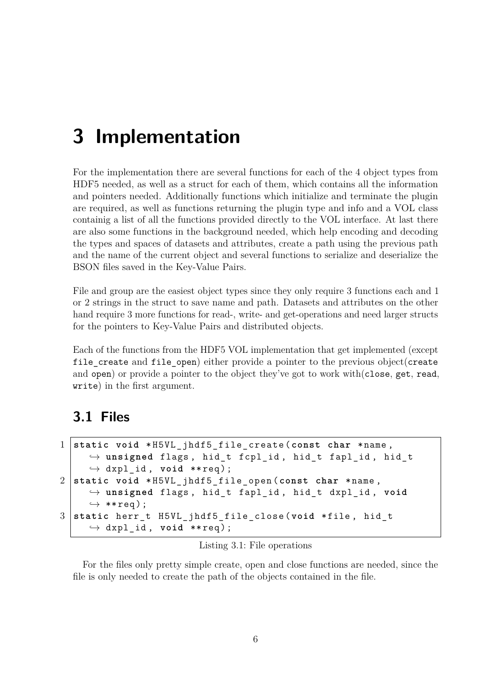### <span id="page-5-0"></span>**3 Implementation**

For the implementation there are several functions for each of the 4 object types from HDF5 needed, as well as a struct for each of them, which contains all the information and pointers needed. Additionally functions which initialize and terminate the plugin are required, as well as functions returning the plugin type and info and a VOL class containig a list of all the functions provided directly to the VOL interface. At last there are also some functions in the background needed, which help encoding and decoding the types and spaces of datasets and attributes, create a path using the previous path and the name of the current object and several functions to serialize and deserialize the BSON files saved in the Key-Value Pairs.

File and group are the easiest object types since they only require 3 functions each and 1 or 2 strings in the struct to save name and path. Datasets and attributes on the other hand require 3 more functions for read-, write- and get-operations and need larger structs for the pointers to Key-Value Pairs and distributed objects.

Each of the functions from the HDF5 VOL implementation that get implemented (except file create and file open) either provide a pointer to the previous object(create and open) or provide a pointer to the object they've got to work with $(c)$ lose, get, read, write) in the first argument.

#### <span id="page-5-1"></span>**3.1 Files**

```
1 static void * H5VL_jhdf5_file_create ( const char * name ,
     ,→ unsigned flags , hid_t fcpl_id , hid_t fapl_id , hid_t
     \hookrightarrow dxpl id, void ** req );
2 static void * H5VL_jhdf5_file_open ( const char * name ,
     ,→ unsigned flags , hid_t fapl_id , hid_t dxpl_id , void
     ,→ ** req ) ;
3 static herr_t H5VL_jhdf5_file_close ( void * file , hid_t
     \hookrightarrow dxpl id, void ** req );
```
#### Listing 3.1: File operations

For the files only pretty simple create, open and close functions are needed, since the file is only needed to create the path of the objects contained in the file.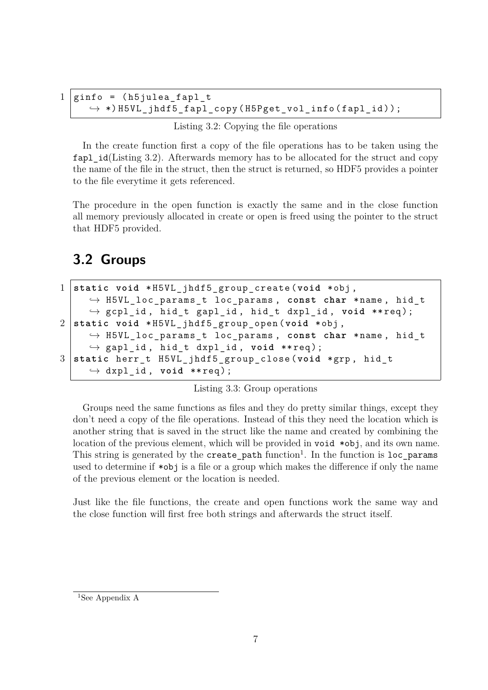```
1 \midginfo = (h5julea_fapl_t
     ,→ *) H5VL_jhdf5_fapl_copy ( H5Pget_vol_info ( fapl_id )) ;
```
Listing 3.2: Copying the file operations

In the create function first a copy of the file operations has to be taken using the  $fap1$  id(Listing [3.2\)](#page-6-1). Afterwards memory has to be allocated for the struct and copy the name of the file in the struct, then the struct is returned, so HDF5 provides a pointer to the file everytime it gets referenced.

The procedure in the open function is exactly the same and in the close function all memory previously allocated in create or open is freed using the pointer to the struct that HDF5 provided.

#### <span id="page-6-0"></span>**3.2 Groups**

```
1 static void * H5VL_jhdf5_group_create ( void * obj ,
     ,→ H5VL_loc_params_t loc_params , const char * name , hid_t
     ,→ gcpl_id , hid_t gapl_id , hid_t dxpl_id , void ** req ) ;
2 static void * H5VL_jhdf5_group_open ( void * obj ,
     ,→ H5VL_loc_params_t loc_params , const char * name , hid_t
     ,→ gapl_id , hid_t dxpl_id , void ** req ) ;
3 static herr_t H5VL_jhdf5_group_close ( void * grp , hid_t
     \hookrightarrow dxpl id, void ** req );
```
Listing 3.3: Group operations

Groups need the same functions as files and they do pretty similar things, except they don't need a copy of the file operations. Instead of this they need the location which is another string that is saved in the struct like the name and created by combining the location of the previous element, which will be provided in void \*obj, and its own name. This string is generated by the  $\mathtt{create\_path}$  function<sup>[1](#page-6-2)</sup>. In the function is  $\mathtt{loc\_params}$ used to determine if \*obj is a file or a group which makes the difference if only the name of the previous element or the location is needed.

Just like the file functions, the create and open functions work the same way and the close function will first free both strings and afterwards the struct itself.

<span id="page-6-2"></span><sup>&</sup>lt;sup>1</sup>See Appendix A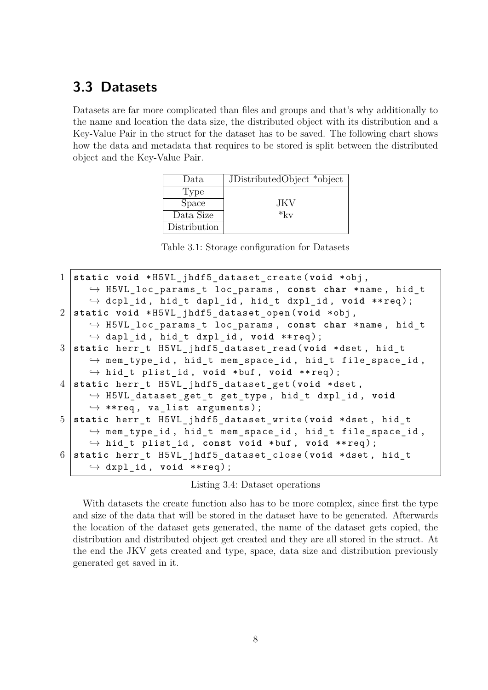#### <span id="page-7-0"></span>**3.3 Datasets**

<span id="page-7-2"></span>Datasets are far more complicated than files and groups and that's why additionally to the name and location the data size, the distributed object with its distribution and a Key-Value Pair in the struct for the dataset has to be saved. The following chart shows how the data and metadata that requires to be stored is split between the distributed object and the Key-Value Pair.

| Data         | JDistributedObject *object |
|--------------|----------------------------|
| Type         |                            |
| <b>Space</b> | JK V                       |
| Data Size    | $*_{kv}$                   |
| Distribution |                            |

Table 3.1: Storage configuration for Datasets

<span id="page-7-1"></span>

| 1 static void *H5VL_jhdf5_dataset_create(void *obj,                     |
|-------------------------------------------------------------------------|
| $\rightarrow$ H5VL_loc_params_t loc_params, const char *name, hid_t     |
| $\hookrightarrow$ dcpl_id, hid_t dapl_id, hid_t dxpl_id, void **req);   |
| 2 static void *H5VL jhdf5 dataset open (void *obj,                      |
| $\rightarrow$ H5VL_loc_params_t loc_params, const char *name, hid_t     |
| $\hookrightarrow$ dapl_id, hid_t dxpl_id, void **req);                  |
| 3 static herr_t H5VL_jhdf5_dataset_read(void *dset, hid_t               |
| $\hookrightarrow$ mem_type_id, hid_t mem_space_id, hid_t file_space_id, |
| $\hookrightarrow$ hid_t plist_id, void *buf, void **req);               |
| 4 static herr_t H5VL_jhdf5_dataset_get(void *dset,                      |
| $\hookrightarrow$ H5VL_dataset_get_t get_type, hid_t dxpl_id, void      |
| $\leftrightarrow$ **req, va_list arguments);                            |
| 5 static herr_t H5VL_jhdf5_dataset_write(void *dset, hid_t              |
| $\hookrightarrow$ mem_type_id, hid_t mem_space_id, hid_t file_space_id, |
| $\hookrightarrow$ hid_t plist_id, const void *buf, void **req);         |
| 6 static herr_t H5VL_jhdf5_dataset_close(void *dset, hid_t              |
| $\leftrightarrow$ dxpl_id, void **req);                                 |

#### Listing 3.4: Dataset operations

With datasets the create function also has to be more complex, since first the type and size of the data that will be stored in the dataset have to be generated. Afterwards the location of the dataset gets generated, the name of the dataset gets copied, the distribution and distributed object get created and they are all stored in the struct. At the end the JKV gets created and type, space, data size and distribution previously generated get saved in it.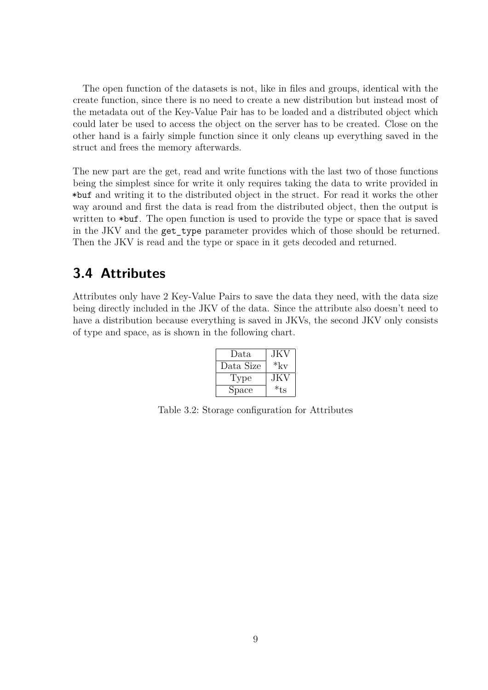The open function of the datasets is not, like in files and groups, identical with the create function, since there is no need to create a new distribution but instead most of the metadata out of the Key-Value Pair has to be loaded and a distributed object which could later be used to access the object on the server has to be created. Close on the other hand is a fairly simple function since it only cleans up everything saved in the struct and frees the memory afterwards.

The new part are the get, read and write functions with the last two of those functions being the simplest since for write it only requires taking the data to write provided in \*buf and writing it to the distributed object in the struct. For read it works the other way around and first the data is read from the distributed object, then the output is written to  $*$ buf. The open function is used to provide the type or space that is saved in the JKV and the get\_type parameter provides which of those should be returned. Then the JKV is read and the type or space in it gets decoded and returned.

#### <span id="page-8-0"></span>**3.4 Attributes**

<span id="page-8-1"></span>Attributes only have 2 Key-Value Pairs to save the data they need, with the data size being directly included in the JKV of the data. Since the attribute also doesn't need to have a distribution because everything is saved in JKVs, the second JKV only consists of type and space, as is shown in the following chart.

| Data      | JKV      |
|-----------|----------|
| Data Size | $*_{kv}$ |
| Type      | .JK V    |
| Space     | *ts      |

Table 3.2: Storage configuration for Attributes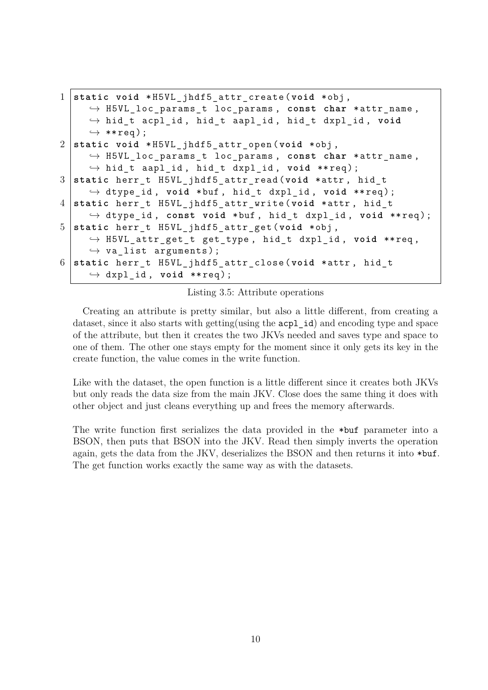```
1 static void * H5VL_jhdf5_attr_create ( void * obj ,
     ,→ H5VL_loc_params_t loc_params , const char * attr_name ,
     ,→ hid_t acpl_id , hid_t aapl_id , hid_t dxpl_id , void
     ,→ ** req ) ;
2 static void * H5VL_jhdf5_attr_open ( void * obj ,
     ,→ H5VL_loc_params_t loc_params , const char * attr_name ,
     ,→ hid_t aapl_id , hid_t dxpl_id , void ** req ) ;
3 static herr_t H5VL_jhdf5_attr_read ( void * attr , hid_t
     ,→ dtype_id , void * buf , hid_t dxpl_id , void ** req ) ;
4 static herr_t H5VL_jhdf5_attr_write ( void * attr , hid_t
     ,→ dtype_id , const void * buf , hid_t dxpl_id , void ** req ) ;
5 static herr_t H5VL_jhdf5_attr_get ( void * obj ,
     ,→ H5VL_attr_get_t get_type , hid_t dxpl_id , void ** req ,
     \rightarrow va_list arguments);
6 static herr_t H5VL_jhdf5_attr_close ( void * attr , hid_t
     \hookrightarrow dxpl id, void ** req );
```
Listing 3.5: Attribute operations

Creating an attribute is pretty similar, but also a little different, from creating a dataset, since it also starts with getting (using the acpl id) and encoding type and space of the attribute, but then it creates the two JKVs needed and saves type and space to one of them. The other one stays empty for the moment since it only gets its key in the create function, the value comes in the write function.

Like with the dataset, the open function is a little different since it creates both JKVs but only reads the data size from the main JKV. Close does the same thing it does with other object and just cleans everything up and frees the memory afterwards.

The write function first serializes the data provided in the \*buf parameter into a BSON, then puts that BSON into the JKV. Read then simply inverts the operation again, gets the data from the JKV, deserializes the BSON and then returns it into \*buf. The get function works exactly the same way as with the datasets.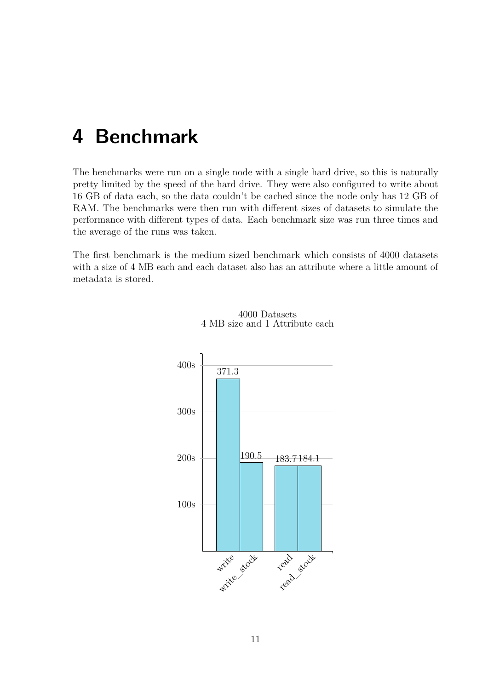### <span id="page-10-0"></span>**4 Benchmark**

The benchmarks were run on a single node with a single hard drive, so this is naturally pretty limited by the speed of the hard drive. They were also configured to write about 16 GB of data each, so the data couldn't be cached since the node only has 12 GB of RAM. The benchmarks were then run with different sizes of datasets to simulate the performance with different types of data. Each benchmark size was run three times and the average of the runs was taken.

The first benchmark is the medium sized benchmark which consists of 4000 datasets with a size of 4 MB each and each dataset also has an attribute where a little amount of metadata is stored.



4000 Datasets 4 MB size and 1 Attribute each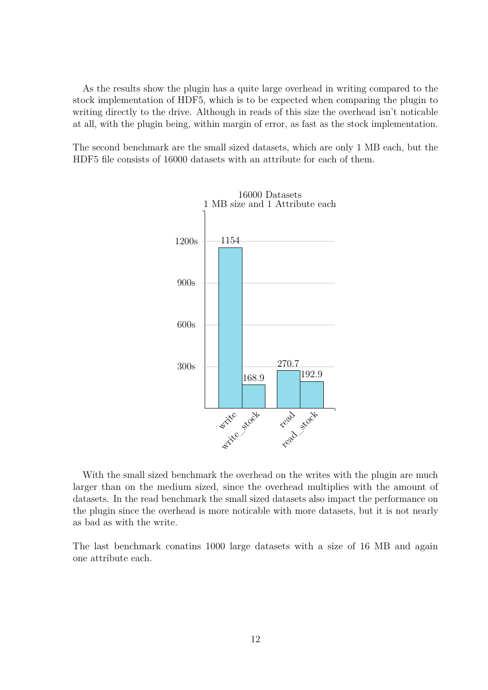As the results show the plugin has a quite large overhead in writing compared to the stock implementation of HDF5, which is to be expected when comparing the plugin to writing directly to the drive. Although in reads of this size the overhead isn't noticable at all, with the plugin being, within margin of error, as fast as the stock implementation.

The second benchmark are the small sized datasets, which are only 1 MB each, but the HDF5 file consists of 16000 datasets with an attribute for each of them.



With the small sized benchmark the overhead on the writes with the plugin are much larger than on the medium sized, since the overhead multiplies with the amount of datasets. In the read benchmark the small sized datasets also impact the performance on the plugin since the overhead is more noticable with more datasets, but it is not nearly as bad as with the write.

The last benchmark conatins 1000 large datasets with a size of 16 MB and again one attribute each.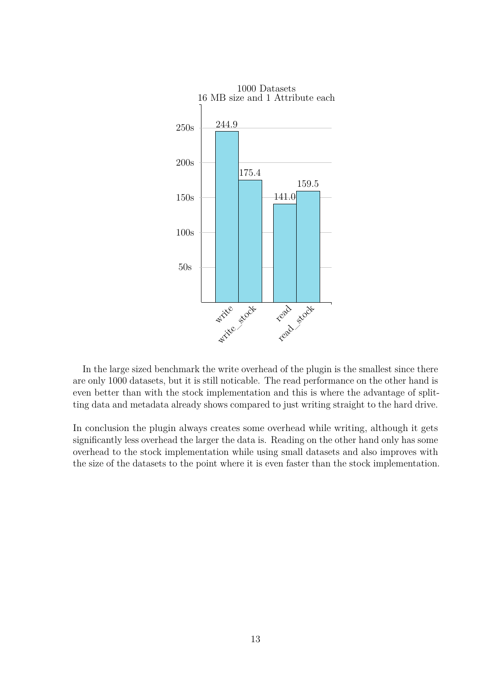

In the large sized benchmark the write overhead of the plugin is the smallest since there are only 1000 datasets, but it is still noticable. The read performance on the other hand is even better than with the stock implementation and this is where the advantage of splitting data and metadata already shows compared to just writing straight to the hard drive.

In conclusion the plugin always creates some overhead while writing, although it gets significantly less overhead the larger the data is. Reading on the other hand only has some overhead to the stock implementation while using small datasets and also improves with the size of the datasets to the point where it is even faster than the stock implementation.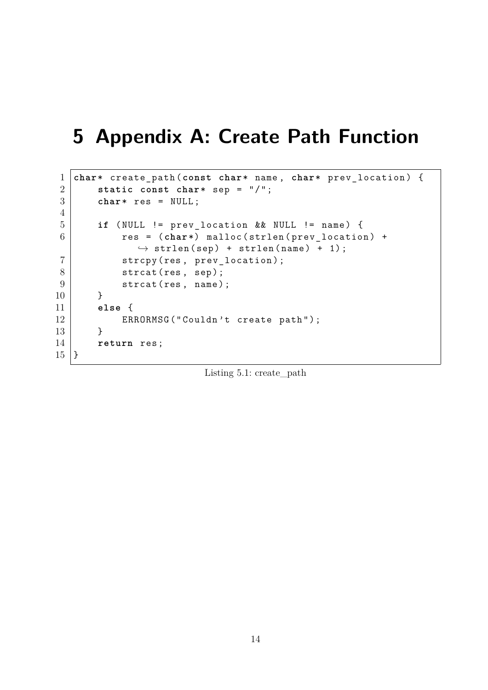### <span id="page-13-0"></span>**5 Appendix A: Create Path Function**

```
1 char* create_path ( const char* name , char* prev_location ) {
2 static const char* sep = \sqrt{''};
3 char* res = NULL ;
4
5 if ( NULL != prev_location && NULL != name ) {
6  res = (char*) malloc(strlen(prev_location) +
             \rightarrow strlen (sep) + strlen (name) + 1);
7 | strcpy (res, prev_location);
8 strcat (res, sep);
9 \mid strcat (res, name);
10 }
11 else {
12 | ERRORMSG ("Couldn't create path");
13 }
14 return res ;
15 \, | \}
```
Listing 5.1: create\_path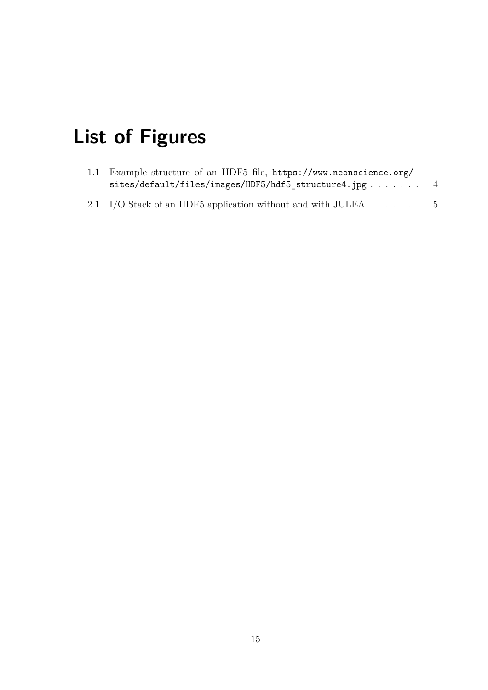# <span id="page-14-0"></span>**List of Figures**

| 1.1 Example structure of an HDF5 file, https://www.neonscience.org/ |     |
|---------------------------------------------------------------------|-----|
| $sites/default/files/images/HDF5/hdf5 structure4.jpg$               |     |
| 2.1 I/O Stack of an HDF5 application without and with JULEA         | - 5 |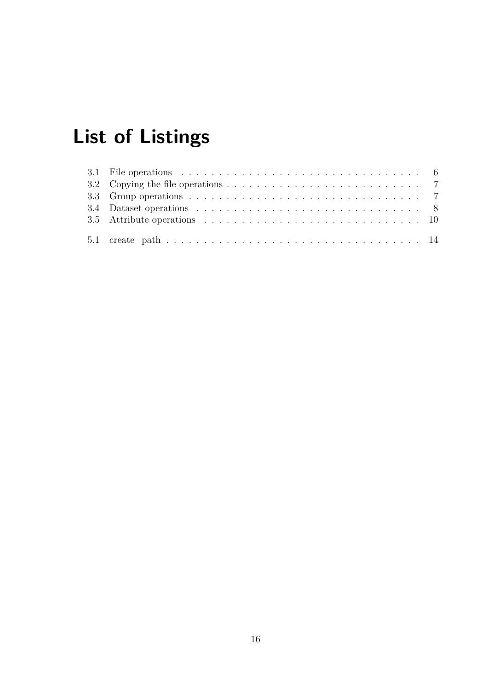# <span id="page-15-0"></span>**List of Listings**

| 3.1 File operations $\ldots \ldots \ldots \ldots \ldots \ldots \ldots \ldots \ldots \ldots \ldots \ldots$      |
|----------------------------------------------------------------------------------------------------------------|
|                                                                                                                |
|                                                                                                                |
|                                                                                                                |
| 3.5 Attribute operations $\ldots \ldots \ldots \ldots \ldots \ldots \ldots \ldots \ldots \ldots \ldots \ldots$ |
|                                                                                                                |